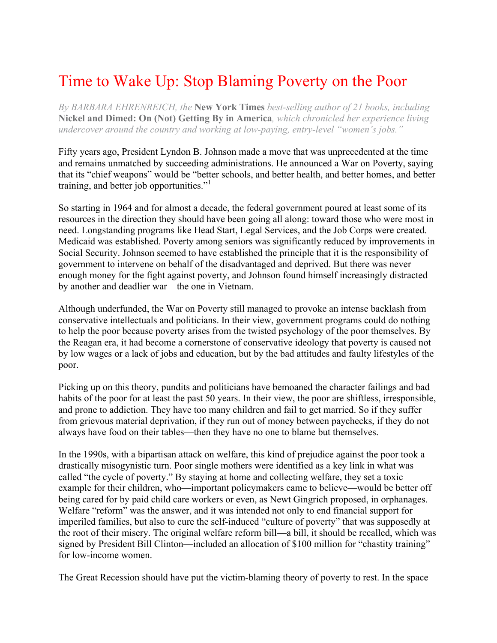## Time to Wake Up: Stop Blaming Poverty on the Poor

*By BARBARA EHRENREICH, the* **New York Times** *best-selling author of 21 books, including* **Nickel and Dimed: On (Not) Getting By in America***, which chronicled her experience living undercover around the country and working at low-paying, entry-level "women's jobs."*

Fifty years ago, President Lyndon B. Johnson made a move that was unprecedented at the time and remains unmatched by succeeding administrations. He announced a War on Poverty, saying that its "chief weapons" would be "better schools, and better health, and better homes, and better training, and better job opportunities."

So starting in 1964 and for almost a decade, the federal government poured at least some of its resources in the direction they should have been going all along: toward those who were most in need. Longstanding programs like Head Start, Legal Services, and the Job Corps were created. Medicaid was established. Poverty among seniors was significantly reduced by improvements in Social Security. Johnson seemed to have established the principle that it is the responsibility of government to intervene on behalf of the disadvantaged and deprived. But there was never enough money for the fight against poverty, and Johnson found himself increasingly distracted by another and deadlier war—the one in Vietnam.

Although underfunded, the War on Poverty still managed to provoke an intense backlash from conservative intellectuals and politicians. In their view, government programs could do nothing to help the poor because poverty arises from the twisted psychology of the poor themselves. By the Reagan era, it had become a cornerstone of conservative ideology that poverty is caused not by low wages or a lack of jobs and education, but by the bad attitudes and faulty lifestyles of the poor.

Picking up on this theory, pundits and politicians have bemoaned the character failings and bad habits of the poor for at least the past 50 years. In their view, the poor are shiftless, irresponsible, and prone to addiction. They have too many children and fail to get married. So if they suffer from grievous material deprivation, if they run out of money between paychecks, if they do not always have food on their tables—then they have no one to blame but themselves.

In the 1990s, with a bipartisan attack on welfare, this kind of prejudice against the poor took a drastically misogynistic turn. Poor single mothers were identified as a key link in what was called "the cycle of poverty." By staying at home and collecting welfare, they set a toxic example for their children, who—important policymakers came to believe—would be better off being cared for by paid child care workers or even, as Newt Gingrich proposed, in orphanages. Welfare "reform" was the answer, and it was intended not only to end financial support for imperiled families, but also to cure the self-induced "culture of poverty" that was supposedly at the root of their misery. The original welfare reform bill—a bill, it should be recalled, which was signed by President Bill Clinton—included an allocation of \$100 million for "chastity training" for low-income women.

The Great Recession should have put the victim-blaming theory of poverty to rest. In the space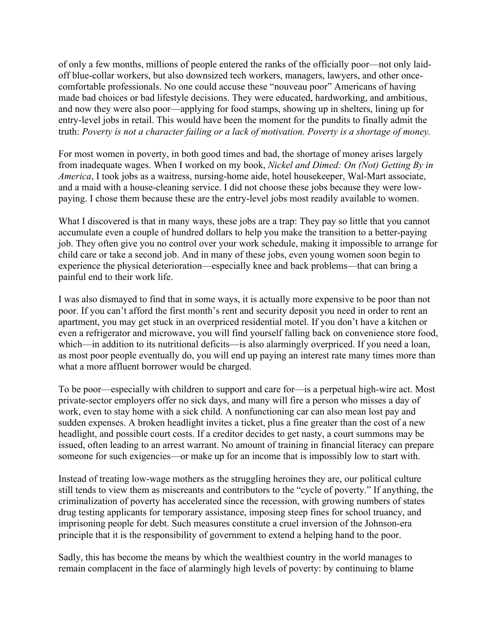of only a few months, millions of people entered the ranks of the officially poor—not only laidoff blue-collar workers, but also downsized tech workers, managers, lawyers, and other oncecomfortable professionals. No one could accuse these "nouveau poor" Americans of having made bad choices or bad lifestyle decisions. They were educated, hardworking, and ambitious, and now they were also poor—applying for food stamps, showing up in shelters, lining up for entry-level jobs in retail. This would have been the moment for the pundits to finally admit the truth: *Poverty is not a character failing or a lack of motivation. Poverty is a shortage of money.*

For most women in poverty, in both good times and bad, the shortage of money arises largely from inadequate wages. When I worked on my book, *Nickel and Dimed: On (Not) Getting By in America*, I took jobs as a waitress, nursing-home aide, hotel housekeeper, Wal-Mart associate, and a maid with a house-cleaning service. I did not choose these jobs because they were lowpaying. I chose them because these are the entry-level jobs most readily available to women.

What I discovered is that in many ways, these jobs are a trap: They pay so little that you cannot accumulate even a couple of hundred dollars to help you make the transition to a better-paying job. They often give you no control over your work schedule, making it impossible to arrange for child care or take a second job. And in many of these jobs, even young women soon begin to experience the physical deterioration—especially knee and back problems—that can bring a painful end to their work life.

I was also dismayed to find that in some ways, it is actually more expensive to be poor than not poor. If you can't afford the first month's rent and security deposit you need in order to rent an apartment, you may get stuck in an overpriced residential motel. If you don't have a kitchen or even a refrigerator and microwave, you will find yourself falling back on convenience store food, which—in addition to its nutritional deficits—is also alarmingly overpriced. If you need a loan, as most poor people eventually do, you will end up paying an interest rate many times more than what a more affluent borrower would be charged.

To be poor—especially with children to support and care for—is a perpetual high-wire act. Most private-sector employers offer no sick days, and many will fire a person who misses a day of work, even to stay home with a sick child. A nonfunctioning car can also mean lost pay and sudden expenses. A broken headlight invites a ticket, plus a fine greater than the cost of a new headlight, and possible court costs. If a creditor decides to get nasty, a court summons may be issued, often leading to an arrest warrant. No amount of training in financial literacy can prepare someone for such exigencies—or make up for an income that is impossibly low to start with.

Instead of treating low-wage mothers as the struggling heroines they are, our political culture still tends to view them as miscreants and contributors to the "cycle of poverty." If anything, the criminalization of poverty has accelerated since the recession, with growing numbers of states drug testing applicants for temporary assistance, imposing steep fines for school truancy, and imprisoning people for debt. Such measures constitute a cruel inversion of the Johnson-era principle that it is the responsibility of government to extend a helping hand to the poor.

Sadly, this has become the means by which the wealthiest country in the world manages to remain complacent in the face of alarmingly high levels of poverty: by continuing to blame